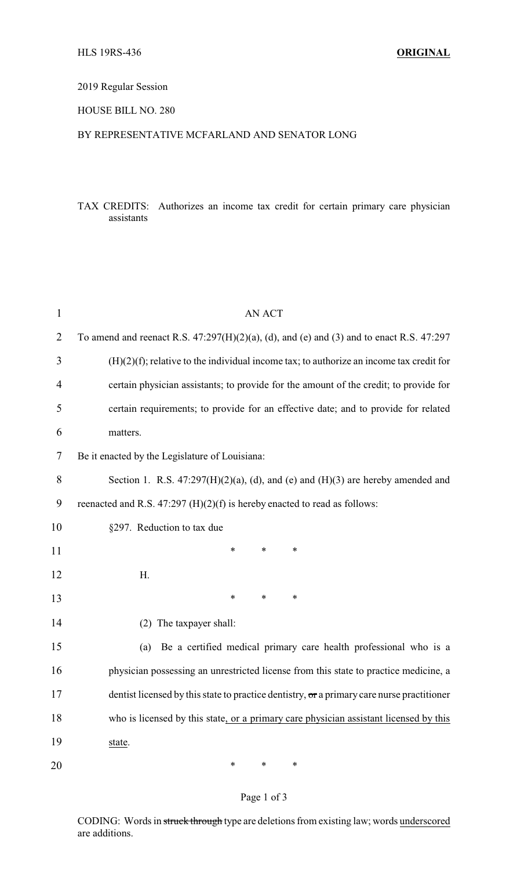## 2019 Regular Session

## HOUSE BILL NO. 280

## BY REPRESENTATIVE MCFARLAND AND SENATOR LONG

## TAX CREDITS: Authorizes an income tax credit for certain primary care physician assistants

| $\mathbf{1}$ | <b>AN ACT</b>                                                                                 |
|--------------|-----------------------------------------------------------------------------------------------|
| 2            | To amend and reenact R.S. $47:297(H)(2)(a)$ , (d), and (e) and (3) and to enact R.S. $47:297$ |
| 3            | $(H)(2)(f)$ ; relative to the individual income tax; to authorize an income tax credit for    |
| 4            | certain physician assistants; to provide for the amount of the credit; to provide for         |
| 5            | certain requirements; to provide for an effective date; and to provide for related            |
| 6            | matters.                                                                                      |
| 7            | Be it enacted by the Legislature of Louisiana:                                                |
| 8            | Section 1. R.S. $47:297(H)(2)(a)$ , (d), and (e) and (H)(3) are hereby amended and            |
| 9            | reenacted and R.S. 47:297 (H)(2)(f) is hereby enacted to read as follows:                     |
| 10           | §297. Reduction to tax due                                                                    |
| 11           | $\ast$<br>$\ast$<br>*                                                                         |
| 12           | Η.                                                                                            |
| 13           | $\ast$<br>∗<br>$\ast$                                                                         |
| 14           | (2) The taxpayer shall:                                                                       |
| 15           | Be a certified medical primary care health professional who is a<br>(a)                       |
| 16           | physician possessing an unrestricted license from this state to practice medicine, a          |
| 17           | dentist licensed by this state to practice dentistry, or a primary care nurse practitioner    |
| 18           | who is licensed by this state, or a primary care physician assistant licensed by this         |
| 19           | state.                                                                                        |
| 20           | $\ast$<br>∗<br>∗                                                                              |

# Page 1 of 3

CODING: Words in struck through type are deletions from existing law; words underscored are additions.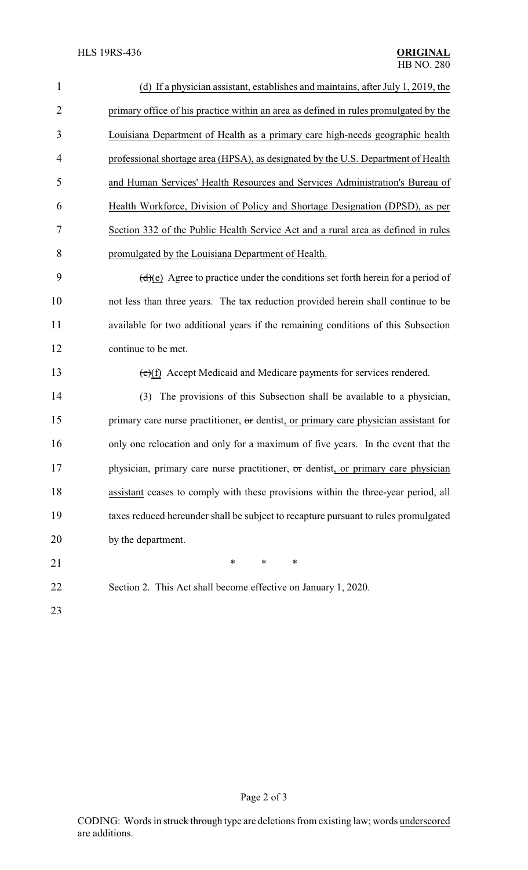| $\mathbf{1}$   | (d) If a physician assistant, establishes and maintains, after July 1, 2019, the     |
|----------------|--------------------------------------------------------------------------------------|
| $\overline{2}$ | primary office of his practice within an area as defined in rules promulgated by the |
| 3              | Louisiana Department of Health as a primary care high-needs geographic health        |
| 4              | professional shortage area (HPSA), as designated by the U.S. Department of Health    |
| 5              | and Human Services' Health Resources and Services Administration's Bureau of         |
| 6              | Health Workforce, Division of Policy and Shortage Designation (DPSD), as per         |
| 7              | Section 332 of the Public Health Service Act and a rural area as defined in rules    |
| 8              | promulgated by the Louisiana Department of Health.                                   |
| 9              | $(d)(e)$ Agree to practice under the conditions set forth herein for a period of     |
| 10             | not less than three years. The tax reduction provided herein shall continue to be    |
| 11             | available for two additional years if the remaining conditions of this Subsection    |
| 12             | continue to be met.                                                                  |
| 13             | $(e)(f)$ Accept Medicaid and Medicare payments for services rendered.                |
| 14             | The provisions of this Subsection shall be available to a physician,<br>(3)          |
| 15             | primary care nurse practitioner, or dentist, or primary care physician assistant for |
| 16             | only one relocation and only for a maximum of five years. In the event that the      |
| 17             | physician, primary care nurse practitioner, or dentist, or primary care physician    |
| 18             | assistant ceases to comply with these provisions within the three-year period, all   |
| 19             | taxes reduced hereunder shall be subject to recapture pursuant to rules promulgated  |
| 20             | by the department.                                                                   |
| 21             | $\ast$<br>$\ast$<br>∗                                                                |
| 22             | Section 2. This Act shall become effective on January 1, 2020.                       |
| 23             |                                                                                      |